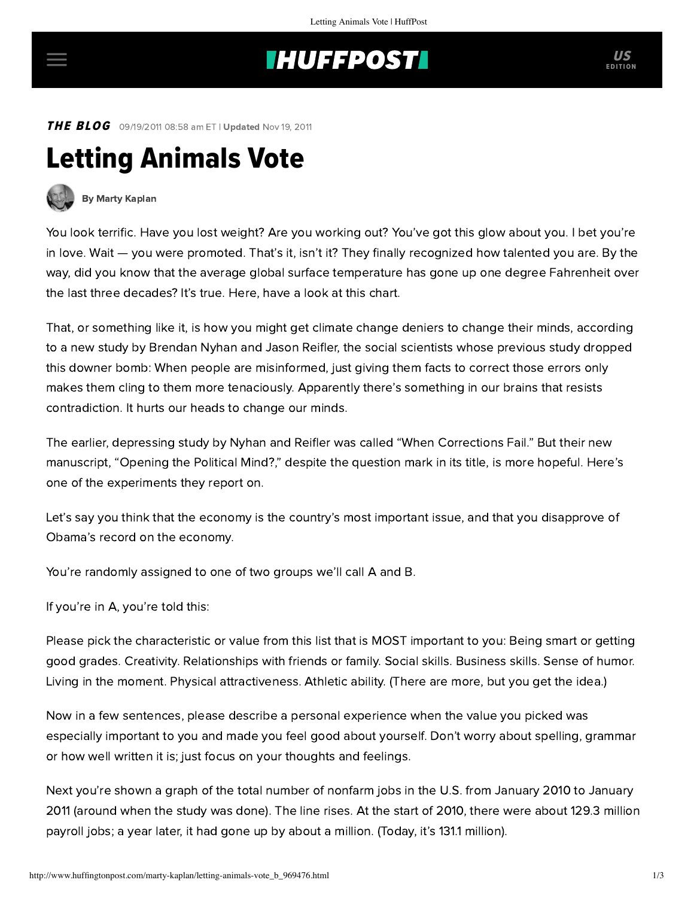# **INUFFPOST**

**THE BLOG** 09/19/2011 08:58 am ET | Updated Nov 19, 2011

# Letting Animals Vote



## [By Marty Kaplan](http://www.huffingtonpost.com/author/marty-kaplan)

You look terrific. Have you lost weight? Are you working out? You've got this glow about you. I bet you're in love. Wait — you were promoted. That's it, isn't it? They finally recognized how talented you are. By the way, did you know that the average global surface temperature has gone up one degree Fahrenheit over the last three decades? It's true. Here, have a look at this chart.

That, or something like it, is how you might get climate change deniers to change their minds, according toa [new study](http://www.dartmouth.edu/~nyhan/opening-political-mind.pdf) by Brendan Nyhan and Jason Reifler, the social scientists whose [previous study](http://www.dartmouth.edu/~nyhan/nyhan-reifler.pdf) dropped this downer bomb: When people are misinformed, just giving them facts to correct those errors only makes them cling to them more tenaciously. Apparently there's something in our brains that resists contradiction. It hurts our heads to change our minds.

The earlier, [depressing study](http://www.jewishjournal.com/marty_kaplan/article/marty_kaplan_the_best_of_all_possible_americas_20100802/) by Nyhan and Reifler was called "When Corrections Fail." But their new manuscript, "Opening the Political Mind?," despite the question mark in its title, is more hopeful. Here's one of the experiments they report on.

Let's say you think that the economy is the country's most important issue, and that you disapprove of Obama's record on the economy.

You're randomly assigned to one of two groups we'll call A and B.

If you're in A, you're told this:

Please pick the characteristic or value from this list that is MOST important to you: Being smart or getting good grades. Creativity. Relationships with friends or family. Social skills. Business skills. Sense of humor. Living in the moment. Physical attractiveness. Athletic ability. (There are more, but you get the idea.)

Now in a few sentences, please describe a personal experience when the value you picked was especially important to you and made you feel good about yourself. Don't worry about spelling, grammar or how well written it is; just focus on your thoughts and feelings.

Next you're shown a graph of the total number of nonfarm jobs in the U.S. from January 2010 to January 2011 (around when the study was done). The line rises. At the start of 2010, there were about 129.3 million payroll jobs; a year later, it had gone up by about a million. (Today, it's 131.1 million).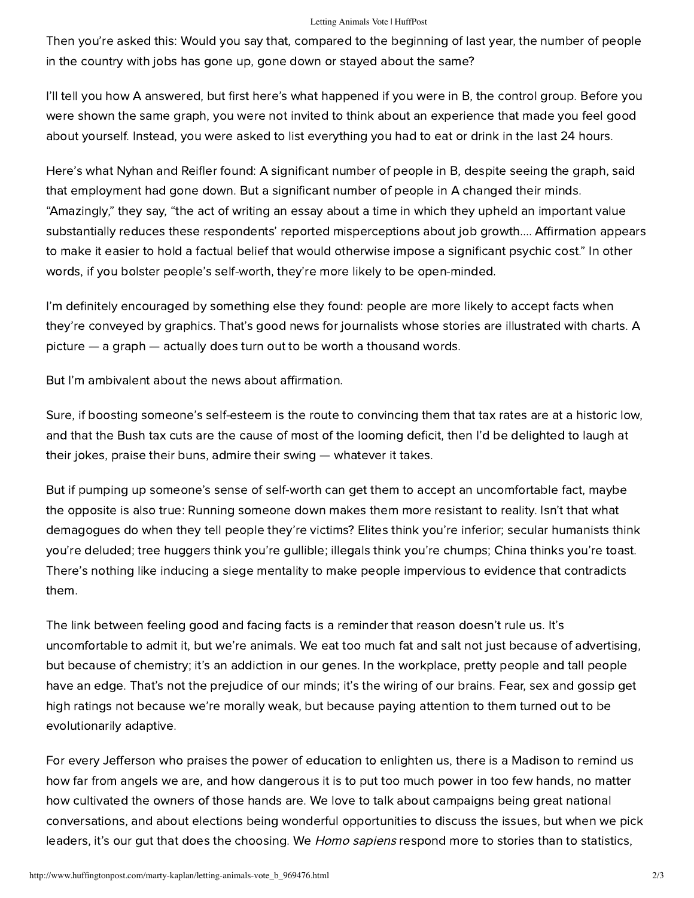#### Letting Animals Vote | HuffPost

Then you're asked this: Would you say that, compared to the beginning of last year, the number of people in the country with jobs has gone up, gone down or stayed about the same?

I'll tell you how A answered, but first here's what happened if you were in B, the control group. Before you were shown the same graph, you were not invited to think about an experience that made you feel good about yourself. Instead, you were asked to list everything you had to eat or drink in the last 24 hours.

Here's what Nyhan and Reifler found: A significant number of people in B, despite seeing the graph, said that employment had gone down. But a significant number of people in A changed their minds. "Amazingly," they say, "the act of writing an essay about a time in which they upheld an important value substantially reduces these respondents' reported misperceptions about job growth.... Affirmation appears to make it easier to hold a factual belief that would otherwise impose a significant psychic cost." In other words, if you bolster people's self-worth, they're more likely to be open-minded.

I'm definitely encouraged by something else they found: people are more likely to accept facts when they're conveyed by graphics. That's [good news for journalists](http://www.niemanlab.org/2011/09/want-to-correct-misinformation-try-doing-it-with-a-graphic/?utm_source=Daily+Lab+email+list&utm_medium=email&utm_campaign=27d2a25268-DAILY_EMAIL) whose stories are illustrated with charts. A picture — a graph — actually does turn out to be worth a thousand words.

But I'm ambivalent about the news about affirmation.

Sure, if boosting someone's self-esteem is the route to convincing them that tax rates are at a historic low, and that the Bush tax cuts are the cause of most of the looming deficit, then I'd be delighted to laugh at their jokes, praise their buns, admire their swing — whatever it takes.

But if pumping up someone's sense of self-worth can get them to accept an uncomfortable fact, maybe the opposite is also true: Running someone down makes them more resistant to reality. Isn't that what demagogues do when they tell people they're victims? Elites think you're inferior; secular humanists think you're deluded; tree huggers think you're gullible; illegals think you're chumps; China thinks you're toast. There's nothing like inducing a siege mentality to make people impervious to evidence that contradicts them.

The link between feeling good and facing facts is a reminder that reason doesn't rule us. It's uncomfortable to admit it, but we're animals. We eat too much [fat and salt](http://www.theendofovereatingbook.com/) not just because of advertising, but because of chemistry; it's an addiction in our genes. In the workplace, [pretty people](http://scienceblog.com/14974/who-knew-good-looking-people-get-better-jobs/) and [tall people](http://gmj.gallup.com/content/16645/taller-better.aspx) have an edge. That's not the prejudice of our minds; it's the wiring of our brains. Fear, sex and [gossip](http://www.npr.org/2011/05/20/136465083/psst-the-human-brain-is-wired-for-gossip) get high ratings not because we're morally weak, but because paying attention to them turned out to be evolutionarily adaptive.

For every Jefferson who praises the power of [education](http://www.famguardian.org/Subjects/Politics/ThomasJefferson/jeff1350.htm) to enlighten us, there is a Madison to remind us how [far from angels](http://www.constitution.org/fed/federa51.htm) we are, and how dangerous it is to put too much power in too few hands, no matter how cultivated the owners of those hands are. We love to talk about campaigns being great national conversations, and about elections being wonderful opportunities to discuss the issues, but when we pick leaders, it's our gut that does the choosing. We *Homo sapiens* respond more to stories than to statistics,